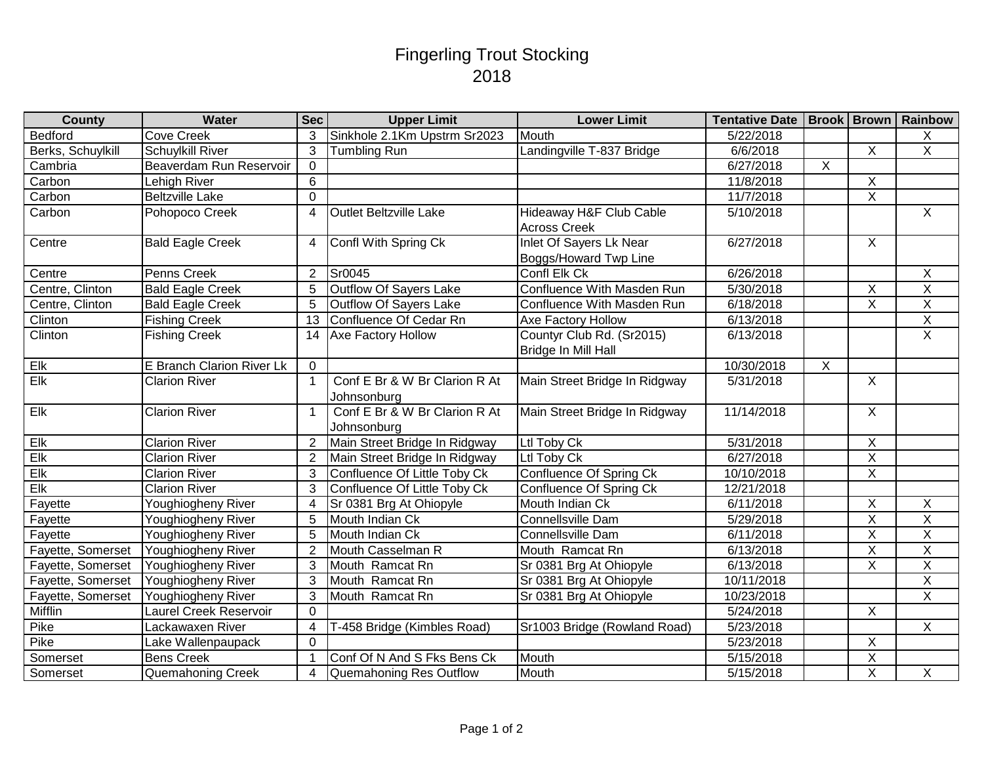## Fingerling Trout Stocking 2018

| <b>County</b>     | Water                     | <b>Sec</b>     | <b>Upper Limit</b>                           | <b>Lower Limit</b>                                      | Tentative Date   Brook   Brown   Rainbow |                |                         |                |
|-------------------|---------------------------|----------------|----------------------------------------------|---------------------------------------------------------|------------------------------------------|----------------|-------------------------|----------------|
| Bedford           | <b>Cove Creek</b>         | 3              | Sinkhole 2.1Km Upstrm Sr2023                 | Mouth                                                   | 5/22/2018                                |                |                         | X              |
| Berks, Schuylkill | <b>Schuylkill River</b>   | 3              | Tumbling Run                                 | Landingville T-837 Bridge                               | 6/6/2018                                 |                | $\overline{X}$          | $\overline{X}$ |
| Cambria           | Beaverdam Run Reservoir   | $\overline{0}$ |                                              |                                                         | 6/27/2018                                | $\overline{X}$ |                         |                |
| Carbon            | Lehigh River              | 6              |                                              |                                                         | 11/8/2018                                |                | X                       |                |
| Carbon            | <b>Beltzville Lake</b>    | $\Omega$       |                                              |                                                         | 11/7/2018                                |                | $\overline{X}$          |                |
| Carbon            | Pohopoco Creek            | $\overline{4}$ | <b>Outlet Beltzville Lake</b>                | Hideaway H&F Club Cable<br><b>Across Creek</b>          | 5/10/2018                                |                |                         | $\overline{X}$ |
| Centre            | <b>Bald Eagle Creek</b>   | $\overline{4}$ | Confl With Spring Ck                         | <b>Inlet Of Sayers Lk Near</b><br>Boggs/Howard Twp Line | 6/27/2018                                |                | $\overline{X}$          |                |
| Centre            | Penns Creek               | 2              | Sr0045                                       | Confl Elk Ck                                            | 6/26/2018                                |                |                         | $\sf X$        |
| Centre, Clinton   | <b>Bald Eagle Creek</b>   | 5              | Outflow Of Sayers Lake                       | Confluence With Masden Run                              | 5/30/2018                                |                | $\mathsf X$             | $\overline{X}$ |
| Centre, Clinton   | <b>Bald Eagle Creek</b>   | 5              | Outflow Of Sayers Lake                       | Confluence With Masden Run                              | 6/18/2018                                |                | $\overline{X}$          | $\overline{X}$ |
| Clinton           | <b>Fishing Creek</b>      | 13             | Confluence Of Cedar Rn                       | Axe Factory Hollow                                      | 6/13/2018                                |                |                         | $\overline{X}$ |
| Clinton           | <b>Fishing Creek</b>      | 14             | Axe Factory Hollow                           | Countyr Club Rd. (Sr2015)<br>Bridge In Mill Hall        | 6/13/2018                                |                |                         | $\overline{X}$ |
| Elk               | E Branch Clarion River Lk | $\overline{0}$ |                                              |                                                         | 10/30/2018                               | $\sf X$        |                         |                |
| Elk               | <b>Clarion River</b>      | $\mathbf{1}$   | Conf E Br & W Br Clarion R At<br>Johnsonburg | Main Street Bridge In Ridgway                           | 5/31/2018                                |                | $\overline{X}$          |                |
| Elk               | <b>Clarion River</b>      | $\mathbf 1$    | Conf E Br & W Br Clarion R At<br>Johnsonburg | Main Street Bridge In Ridgway                           | 11/14/2018                               |                | $\overline{X}$          |                |
| Elk               | <b>Clarion River</b>      | 2              | Main Street Bridge In Ridgway                | Ltl Toby Ck                                             | 5/31/2018                                |                | X                       |                |
| Elk               | <b>Clarion River</b>      | 2              | Main Street Bridge In Ridgway                | Ltl Toby Ck                                             | 6/27/2018                                |                | $\overline{X}$          |                |
| Elk               | <b>Clarion River</b>      | 3              | Confluence Of Little Toby Ck                 | Confluence Of Spring Ck                                 | 10/10/2018                               |                | $\overline{\mathsf{x}}$ |                |
| Elk               | <b>Clarion River</b>      | 3              | Confluence Of Little Toby Ck                 | Confluence Of Spring Ck                                 | 12/21/2018                               |                |                         |                |
| Fayette           | Youghiogheny River        | $\overline{4}$ | Sr 0381 Brg At Ohiopyle                      | Mouth Indian Ck                                         | 6/11/2018                                |                | X                       | X              |
| Fayette           | Youghiogheny River        | 5              | Mouth Indian Ck                              | Connellsville Dam                                       | 5/29/2018                                |                | $\overline{\mathsf{X}}$ | $\overline{X}$ |
| Fayette           | Youghiogheny River        | $\overline{5}$ | Mouth Indian Ck                              | Connellsville Dam                                       | 6/11/2018                                |                | $\overline{\mathsf{X}}$ | $\overline{X}$ |
| Fayette, Somerset | Youghiogheny River        | $\overline{2}$ | Mouth Casselman R                            | Mouth Ramcat Rn                                         | 6/13/2018                                |                | $\overline{X}$          | $\overline{X}$ |
| Fayette, Somerset | Youghiogheny River        | 3              | Mouth Ramcat Rn                              | Sr 0381 Brg At Ohiopyle                                 | 6/13/2018                                |                | $\mathsf X$             | $\overline{X}$ |
| Fayette, Somerset | Youghiogheny River        | 3              | Mouth Ramcat Rn                              | Sr 0381 Brg At Ohiopyle                                 | 10/11/2018                               |                |                         | $\overline{X}$ |
| Fayette, Somerset | Youghiogheny River        | 3              | Mouth Ramcat Rn                              | Sr 0381 Brg At Ohiopyle                                 | 10/23/2018                               |                |                         | $\overline{X}$ |
| Mifflin           | Laurel Creek Reservoir    | $\overline{0}$ |                                              |                                                         | 5/24/2018                                |                | $\overline{X}$          |                |
| Pike              | Lackawaxen River          | $\overline{4}$ | T-458 Bridge (Kimbles Road)                  | Sr1003 Bridge (Rowland Road)                            | 5/23/2018                                |                |                         | $\mathsf{X}$   |
| Pike              | Lake Wallenpaupack        | $\overline{0}$ |                                              |                                                         | 5/23/2018                                |                | $\pmb{\times}$          |                |
| Somerset          | <b>Bens Creek</b>         |                | Conf Of N And S Fks Bens Ck                  | Mouth                                                   | 5/15/2018                                |                | $\mathsf X$             |                |
| Somerset          | Quemahoning Creek         | $\overline{4}$ | Quemahoning Res Outflow                      | Mouth                                                   | 5/15/2018                                |                | $\mathsf X$             | X              |